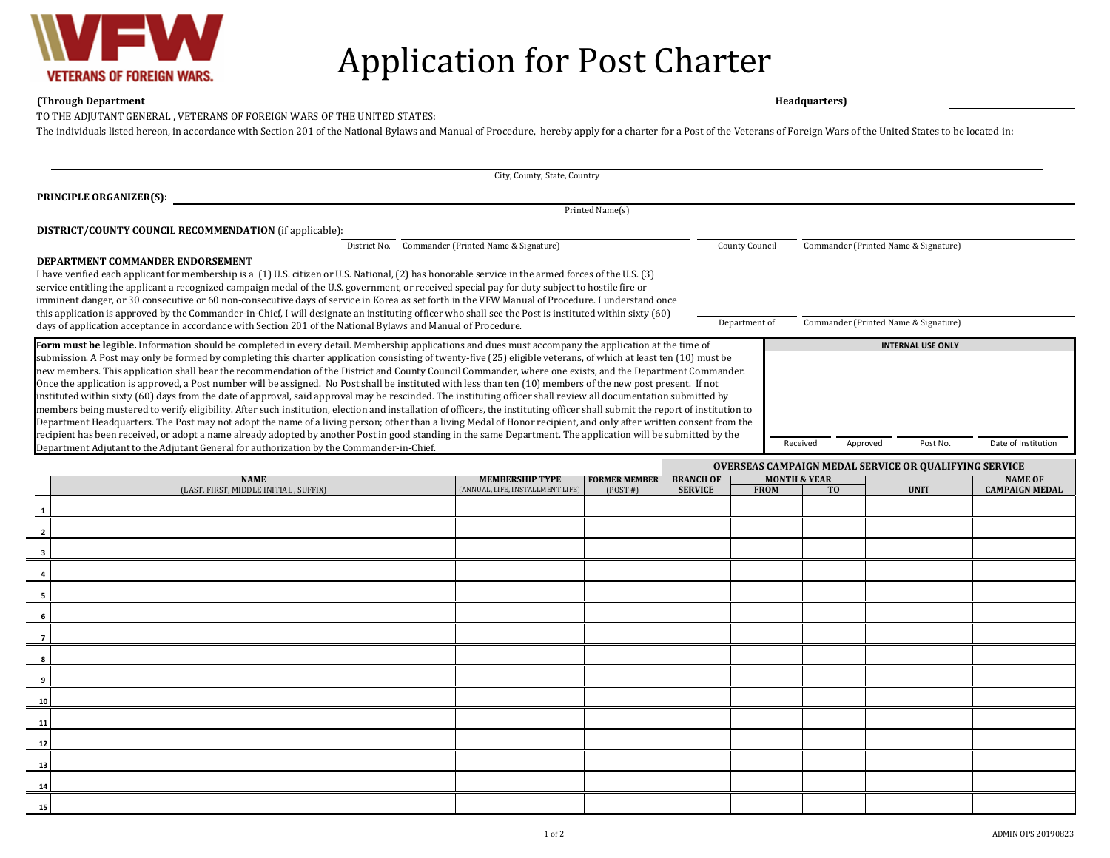

## Application for Post Charter

## **(Through Department Headquarters) Date of Application:**

TO THE ADJUTANT GENERAL , VETERANS OF FOREIGN WARS OF THE UNITED STATES:

The individuals listed hereon, in accordance with Section 201 of the National Bylaws and Manual of Procedure, hereby apply for a charter for a Post of the Veterans of Foreign Wars of the United States to be located in:

| City, County, State, Country                                                                                  |                                                                                                                                                                                                                                                                                                                                                                                                                                                                                                                                                                                                                                                                                                                                                                                                                                                                                                                                                                                                                                                                                                                                                                                                                                                                                                                                                                                                                                                                                                                                           |                                                            |                                 |                                    |                                        |                                                       |                                                              |                                         |  |  |  |
|---------------------------------------------------------------------------------------------------------------|-------------------------------------------------------------------------------------------------------------------------------------------------------------------------------------------------------------------------------------------------------------------------------------------------------------------------------------------------------------------------------------------------------------------------------------------------------------------------------------------------------------------------------------------------------------------------------------------------------------------------------------------------------------------------------------------------------------------------------------------------------------------------------------------------------------------------------------------------------------------------------------------------------------------------------------------------------------------------------------------------------------------------------------------------------------------------------------------------------------------------------------------------------------------------------------------------------------------------------------------------------------------------------------------------------------------------------------------------------------------------------------------------------------------------------------------------------------------------------------------------------------------------------------------|------------------------------------------------------------|---------------------------------|------------------------------------|----------------------------------------|-------------------------------------------------------|--------------------------------------------------------------|-----------------------------------------|--|--|--|
| <b>PRINCIPLE ORGANIZER(S):</b>                                                                                |                                                                                                                                                                                                                                                                                                                                                                                                                                                                                                                                                                                                                                                                                                                                                                                                                                                                                                                                                                                                                                                                                                                                                                                                                                                                                                                                                                                                                                                                                                                                           |                                                            |                                 |                                    |                                        |                                                       |                                                              |                                         |  |  |  |
|                                                                                                               | Printed Name(s)                                                                                                                                                                                                                                                                                                                                                                                                                                                                                                                                                                                                                                                                                                                                                                                                                                                                                                                                                                                                                                                                                                                                                                                                                                                                                                                                                                                                                                                                                                                           |                                                            |                                 |                                    |                                        |                                                       |                                                              |                                         |  |  |  |
|                                                                                                               | <b>DISTRICT/COUNTY COUNCIL RECOMMENDATION</b> (if applicable):                                                                                                                                                                                                                                                                                                                                                                                                                                                                                                                                                                                                                                                                                                                                                                                                                                                                                                                                                                                                                                                                                                                                                                                                                                                                                                                                                                                                                                                                            |                                                            |                                 |                                    |                                        |                                                       |                                                              |                                         |  |  |  |
|                                                                                                               | District No. Commander (Printed Name & Signature)<br>Commander (Printed Name & Signature)<br>County Council<br>DEPARTMENT COMMANDER ENDORSEMENT<br>I have verified each applicant for membership is a (1) U.S. citizen or U.S. National, (2) has honorable service in the armed forces of the U.S. (3)<br>service entitling the applicant a recognized campaign medal of the U.S. government, or received special pay for duty subject to hostile fire or<br>imminent danger, or 30 consecutive or 60 non-consecutive days of service in Korea as set forth in the VFW Manual of Procedure. I understand once<br>this application is approved by the Commander-in-Chief, I will designate an instituting officer who shall see the Post is instituted within sixty (60)                                                                                                                                                                                                                                                                                                                                                                                                                                                                                                                                                                                                                                                                                                                                                                   |                                                            |                                 |                                    |                                        |                                                       |                                                              |                                         |  |  |  |
| days of application acceptance in accordance with Section 201 of the National Bylaws and Manual of Procedure. |                                                                                                                                                                                                                                                                                                                                                                                                                                                                                                                                                                                                                                                                                                                                                                                                                                                                                                                                                                                                                                                                                                                                                                                                                                                                                                                                                                                                                                                                                                                                           |                                                            |                                 |                                    |                                        | Commander (Printed Name & Signature)<br>Department of |                                                              |                                         |  |  |  |
|                                                                                                               | Form must be legible. Information should be completed in every detail. Membership applications and dues must accompany the application at the time of<br><b>INTERNAL USE ONLY</b><br>submission. A Post may only be formed by completing this charter application consisting of twenty-five (25) eligible veterans, of which at least ten (10) must be<br>new members. This application shall bear the recommendation of the District and County Council Commander, where one exists, and the Department Commander.<br>Once the application is approved, a Post number will be assigned. No Post shall be instituted with less than ten (10) members of the new post present. If not<br>instituted within sixty (60) days from the date of approval, said approval may be rescinded. The instituting officer shall review all documentation submitted by<br>members being mustered to verify eligibility. After such institution, election and installation of officers, the instituting officer shall submit the report of institution to<br>Department Headquarters. The Post may not adopt the name of a living person; other than a living Medal of Honor recipient, and only after written consent from the<br>recipient has been received, or adopt a name already adopted by another Post in good standing in the same Department. The application will be submitted by the<br>Received<br>Approved<br>Post No.<br>Date of Institution<br>Department Adjutant to the Adjutant General for authorization by the Commander-in-Chief. |                                                            |                                 |                                    |                                        |                                                       |                                                              |                                         |  |  |  |
|                                                                                                               |                                                                                                                                                                                                                                                                                                                                                                                                                                                                                                                                                                                                                                                                                                                                                                                                                                                                                                                                                                                                                                                                                                                                                                                                                                                                                                                                                                                                                                                                                                                                           |                                                            |                                 |                                    |                                        |                                                       | <b>OVERSEAS CAMPAIGN MEDAL SERVICE OR QUALIFYING SERVICE</b> |                                         |  |  |  |
|                                                                                                               | <b>NAME</b><br>(LAST, FIRST, MIDDLE INITIAL, SUFFIX)                                                                                                                                                                                                                                                                                                                                                                                                                                                                                                                                                                                                                                                                                                                                                                                                                                                                                                                                                                                                                                                                                                                                                                                                                                                                                                                                                                                                                                                                                      | <b>MEMBERSHIP TYPE</b><br>(ANNUAL, LIFE, INSTALLMENT LIFE) | <b>FORMER MEMBER</b><br>(POST#) | <b>BRANCH OF</b><br><b>SERVICE</b> | <b>MONTH &amp; YEAR</b><br><b>FROM</b> | T <sub>0</sub>                                        | <b>UNIT</b>                                                  | <b>NAME OF</b><br><b>CAMPAIGN MEDAL</b> |  |  |  |
| 1                                                                                                             |                                                                                                                                                                                                                                                                                                                                                                                                                                                                                                                                                                                                                                                                                                                                                                                                                                                                                                                                                                                                                                                                                                                                                                                                                                                                                                                                                                                                                                                                                                                                           |                                                            |                                 |                                    |                                        |                                                       |                                                              |                                         |  |  |  |
| $\overline{2}$                                                                                                |                                                                                                                                                                                                                                                                                                                                                                                                                                                                                                                                                                                                                                                                                                                                                                                                                                                                                                                                                                                                                                                                                                                                                                                                                                                                                                                                                                                                                                                                                                                                           |                                                            |                                 |                                    |                                        |                                                       |                                                              |                                         |  |  |  |
| 3                                                                                                             |                                                                                                                                                                                                                                                                                                                                                                                                                                                                                                                                                                                                                                                                                                                                                                                                                                                                                                                                                                                                                                                                                                                                                                                                                                                                                                                                                                                                                                                                                                                                           |                                                            |                                 |                                    |                                        |                                                       |                                                              |                                         |  |  |  |
| 4                                                                                                             |                                                                                                                                                                                                                                                                                                                                                                                                                                                                                                                                                                                                                                                                                                                                                                                                                                                                                                                                                                                                                                                                                                                                                                                                                                                                                                                                                                                                                                                                                                                                           |                                                            |                                 |                                    |                                        |                                                       |                                                              |                                         |  |  |  |
| - 5                                                                                                           |                                                                                                                                                                                                                                                                                                                                                                                                                                                                                                                                                                                                                                                                                                                                                                                                                                                                                                                                                                                                                                                                                                                                                                                                                                                                                                                                                                                                                                                                                                                                           |                                                            |                                 |                                    |                                        |                                                       |                                                              |                                         |  |  |  |
| 6                                                                                                             |                                                                                                                                                                                                                                                                                                                                                                                                                                                                                                                                                                                                                                                                                                                                                                                                                                                                                                                                                                                                                                                                                                                                                                                                                                                                                                                                                                                                                                                                                                                                           |                                                            |                                 |                                    |                                        |                                                       |                                                              |                                         |  |  |  |
| $\overline{7}$                                                                                                |                                                                                                                                                                                                                                                                                                                                                                                                                                                                                                                                                                                                                                                                                                                                                                                                                                                                                                                                                                                                                                                                                                                                                                                                                                                                                                                                                                                                                                                                                                                                           |                                                            |                                 |                                    |                                        |                                                       |                                                              |                                         |  |  |  |
| 8                                                                                                             |                                                                                                                                                                                                                                                                                                                                                                                                                                                                                                                                                                                                                                                                                                                                                                                                                                                                                                                                                                                                                                                                                                                                                                                                                                                                                                                                                                                                                                                                                                                                           |                                                            |                                 |                                    |                                        |                                                       |                                                              |                                         |  |  |  |
| 9                                                                                                             |                                                                                                                                                                                                                                                                                                                                                                                                                                                                                                                                                                                                                                                                                                                                                                                                                                                                                                                                                                                                                                                                                                                                                                                                                                                                                                                                                                                                                                                                                                                                           |                                                            |                                 |                                    |                                        |                                                       |                                                              |                                         |  |  |  |
| 10                                                                                                            |                                                                                                                                                                                                                                                                                                                                                                                                                                                                                                                                                                                                                                                                                                                                                                                                                                                                                                                                                                                                                                                                                                                                                                                                                                                                                                                                                                                                                                                                                                                                           |                                                            |                                 |                                    |                                        |                                                       |                                                              |                                         |  |  |  |
| 11                                                                                                            |                                                                                                                                                                                                                                                                                                                                                                                                                                                                                                                                                                                                                                                                                                                                                                                                                                                                                                                                                                                                                                                                                                                                                                                                                                                                                                                                                                                                                                                                                                                                           |                                                            |                                 |                                    |                                        |                                                       |                                                              |                                         |  |  |  |
| 12                                                                                                            |                                                                                                                                                                                                                                                                                                                                                                                                                                                                                                                                                                                                                                                                                                                                                                                                                                                                                                                                                                                                                                                                                                                                                                                                                                                                                                                                                                                                                                                                                                                                           |                                                            |                                 |                                    |                                        |                                                       |                                                              |                                         |  |  |  |
| 13                                                                                                            |                                                                                                                                                                                                                                                                                                                                                                                                                                                                                                                                                                                                                                                                                                                                                                                                                                                                                                                                                                                                                                                                                                                                                                                                                                                                                                                                                                                                                                                                                                                                           |                                                            |                                 |                                    |                                        |                                                       |                                                              |                                         |  |  |  |
| 14                                                                                                            |                                                                                                                                                                                                                                                                                                                                                                                                                                                                                                                                                                                                                                                                                                                                                                                                                                                                                                                                                                                                                                                                                                                                                                                                                                                                                                                                                                                                                                                                                                                                           |                                                            |                                 |                                    |                                        |                                                       |                                                              |                                         |  |  |  |
| 15                                                                                                            |                                                                                                                                                                                                                                                                                                                                                                                                                                                                                                                                                                                                                                                                                                                                                                                                                                                                                                                                                                                                                                                                                                                                                                                                                                                                                                                                                                                                                                                                                                                                           |                                                            |                                 |                                    |                                        |                                                       |                                                              |                                         |  |  |  |